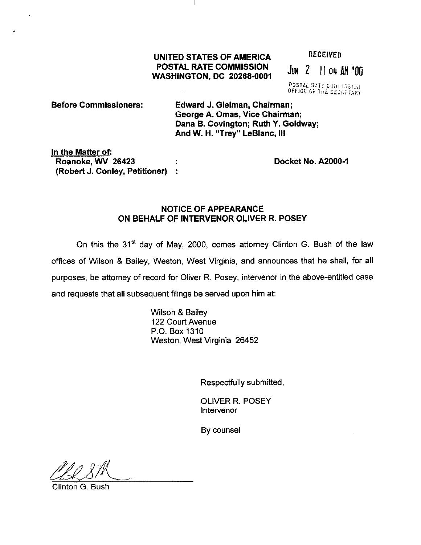## UNITED STATES OF AMERICA RECEIVED POSTAL RATE COMMISSION POSTAL RATE COMMISSION JUN 2 11 04 AM '00

POSTAL RATE COMMISSION OFFICE OF THE SECRETARY

## Before Commissioners: Edward J. Gleiman, Chairman; George A. Omas, Vice Chairman; Dana B. Covington; Ruth Y. Goldway; And W. H. "Trey" LeBlanc, Ill

In the Matter of: Roanoke, WV 26423 Docket No. A2000-1 (Robert J. Conley, Petitioner) :

## NOTICE OF APPEARANCE ON BEHALF OF INTERVENOR OLIVER R. POSEY

On this the 31" day of May, 2000, comes attorney Clinton G. Bush of the law offices of Wilson & Bailey, Weston, West Virginia, and announces that he shall, for all purposes, be attorney of record for Oliver R. Posey, intervenor in the above-entitled case and requests that all subsequent filings be served upon him at:

> Wilson & Bailey 122 Court Avenue P.O. Box 1310 Weston, West Virginia 26452

> > Respectfully submitted,

OLIVER R. POSEY lntervenor

By counsel

fle 8th

Clinton G. Bush